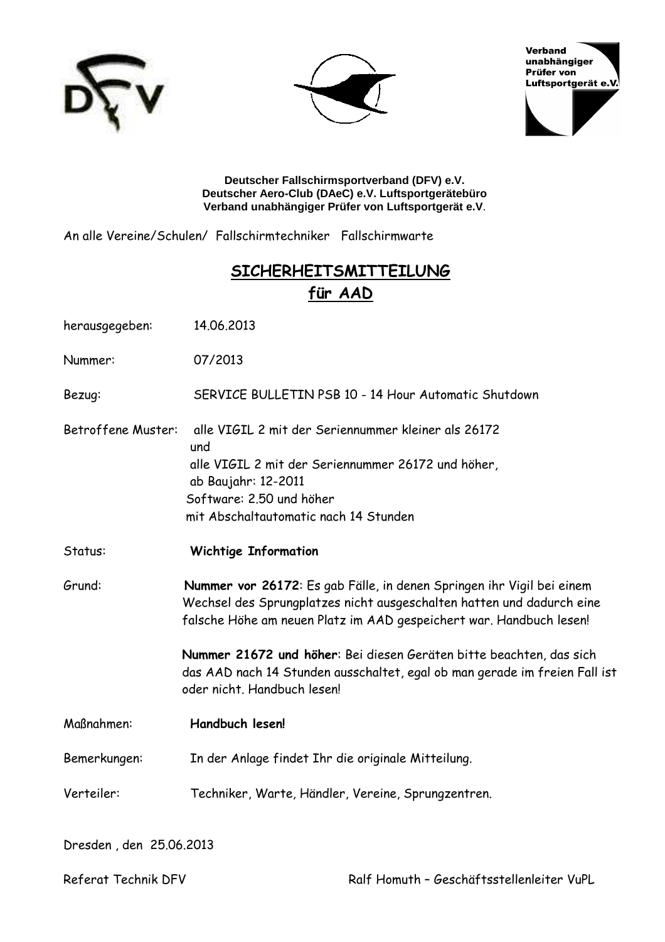





Deutscher Fallschirmsportverband (DFV) e.V. Deutscher Aero-Club (DAeC) e.V. Luftsportgerätebüro Verband unabhängiger Prüfer von Luftsportgerät e.V.

An alle Vereine/Schulen/ Fallschirmtechniker Fallschirmwarte

## **SICHERHEITSMITTEILUNG** für AAD

| herausgegeben:          | 14.06.2013                                                                                                                                                                                                            |  |
|-------------------------|-----------------------------------------------------------------------------------------------------------------------------------------------------------------------------------------------------------------------|--|
| Nummer:                 | 07/2013                                                                                                                                                                                                               |  |
| Bezug:                  | SERVICE BULLETIN PSB 10 - 14 Hour Automatic Shutdown                                                                                                                                                                  |  |
| Betroffene Muster:      | alle VIGIL 2 mit der Seriennummer kleiner als 26172<br>und<br>alle VIGIL 2 mit der Seriennummer 26172 und höher,<br>ab Baujahr: 12-2011<br>Software: 2.50 und höher<br>mit Abschaltautomatic nach 14 Stunden          |  |
| Status:                 | <b>Wichtige Information</b>                                                                                                                                                                                           |  |
| Grund:                  | Nummer vor 26172: Es gab Fälle, in denen Springen ihr Vigil bei einem<br>Wechsel des Sprungplatzes nicht ausgeschalten hatten und dadurch eine<br>falsche Höhe am neuen Platz im AAD gespeichert war. Handbuch lesen! |  |
|                         | Nummer 21672 und höher: Bei diesen Geräten bitte beachten, das sich<br>das AAD nach 14 Stunden ausschaltet, egal ob man gerade im freien Fall ist<br>oder nicht. Handbuch lesen!                                      |  |
| Maßnahmen:              | Handbuch lesen!                                                                                                                                                                                                       |  |
| Bemerkungen:            | In der Anlage findet Ihr die originale Mitteilung.                                                                                                                                                                    |  |
| Verteiler:              | Techniker, Warte, Händler, Vereine, Sprungzentren.                                                                                                                                                                    |  |
| Dresden, den 25.06.2013 |                                                                                                                                                                                                                       |  |

Referat Technik DFV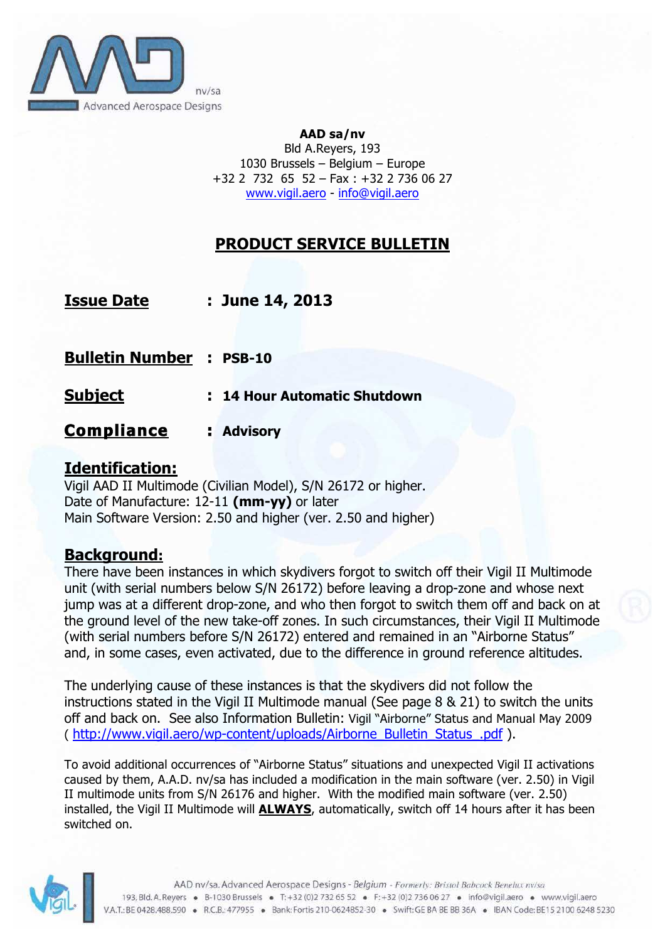

#### **AAD sa/nv** Bld A.Reyers, 193 1030 Brussels – Belgium – Europe +32 2 732 65 52 – Fax : +32 2 736 06 27 www.vigil.aero - info@vigil.aero

# **PRODUCT SERVICE BULLETIN**

| <u>Issue Date</u>                | : June 14, 2013              |
|----------------------------------|------------------------------|
| <u> Bulletin Number</u> : PSB-10 |                              |
| <u>Subject</u>                   | : 14 Hour Automatic Shutdown |
| <u>Compliance</u>                | : Advisory                   |

## **Identification:**

Vigil AAD II Multimode (Civilian Model), S/N 26172 or higher. Date of Manufacture: 12-11 **(mm-yy)** or later Main Software Version: 2.50 and higher (ver. 2.50 and higher)

## **Background:**

There have been instances in which skydivers forgot to switch off their Vigil II Multimode unit (with serial numbers below S/N 26172) before leaving a drop-zone and whose next jump was at a different drop-zone, and who then forgot to switch them off and back on at the ground level of the new take-off zones. In such circumstances, their Vigil II Multimode (with serial numbers before S/N 26172) entered and remained in an "Airborne Status" and, in some cases, even activated, due to the difference in ground reference altitudes.

The underlying cause of these instances is that the skydivers did not follow the instructions stated in the Vigil II Multimode manual (See page 8 & 21) to switch the units off and back on. See also Information Bulletin: Vigil "Airborne" Status and Manual May 2009 ( http://www.vigil.aero/wp-content/uploads/Airborne\_Bulletin\_Status\_.pdf ).

To avoid additional occurrences of "Airborne Status" situations and unexpected Vigil II activations caused by them, A.A.D. nv/sa has included a modification in the main software (ver. 2.50) in Vigil II multimode units from S/N 26176 and higher. With the modified main software (ver. 2.50) installed, the Vigil II Multimode will **ALWAYS**, automatically, switch off 14 hours after it has been switched on.

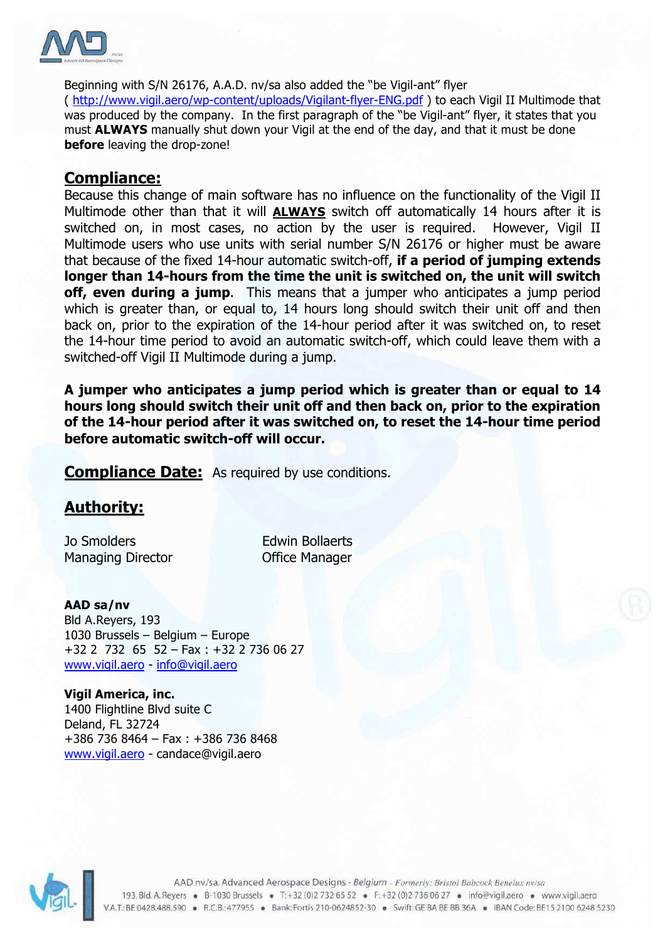

Beginning with S/N 26176, A.A.D. nv/sa also added the "be Vigil-ant" flyer ( http://www.vigil.aero/wp-content/uploads/Vigilant-flyer-ENG.pdf ) to each Vigil II Multimode that was produced by the company. In the first paragraph of the "be Vigil-ant" flyer, it states that you must **ALWAYS** manually shut down your Vigil at the end of the day, and that it must be done **before** leaving the drop-zone!

#### **Compliance:**

Because this change of main software has no influence on the functionality of the Vigil II Multimode other than that it will **ALWAYS** switch off automatically 14 hours after it is switched on, in most cases, no action by the user is required. However, Vigil II Multimode users who use units with serial number S/N 26176 or higher must be aware that because of the fixed 14-hour automatic switch-off, **if a period of jumping extends longer than 14-hours from the time the unit is switched on, the unit will switch off, even during a jump.** This means that a jumper who anticipates a jump period which is greater than, or equal to, 14 hours long should switch their unit off and then back on, prior to the expiration of the 14-hour period after it was switched on, to reset the 14-hour time period to avoid an automatic switch-off, which could leave them with a switched-off Vigil II Multimode during a jump.

**A jumper who anticipates a jump period which is greater than or equal to 14 hours long should switch their unit off and then back on, prior to the expiration of the 14-hour period after it was switched on, to reset the 14-hour time period before automatic switch-off will occur.** 

**Compliance Date:** As required by use conditions.

## **Authority:**

Jo Smolders **Edwin Bollaerts** Managing Director **Contact Contact Contact Contact Contact Contact Contact Contact Contact Contact Contact Contact Contact Contact Contact Contact Contact Contact Contact Contact Contact Contact Contact Contact Contact Con** 

**AAD sa/nv** Bld A.Reyers, 193 1030 Brussels – Belgium – Europe +32 2 732 65 52 – Fax : +32 2 736 06 27 www.vigil.aero - info@vigil.aero

**Vigil America, inc.** 1400 Flightline Blvd suite C Deland, FL 32724 +386 736 8464 – Fax : +386 736 8468 www.vigil.aero - candace@vigil.aero